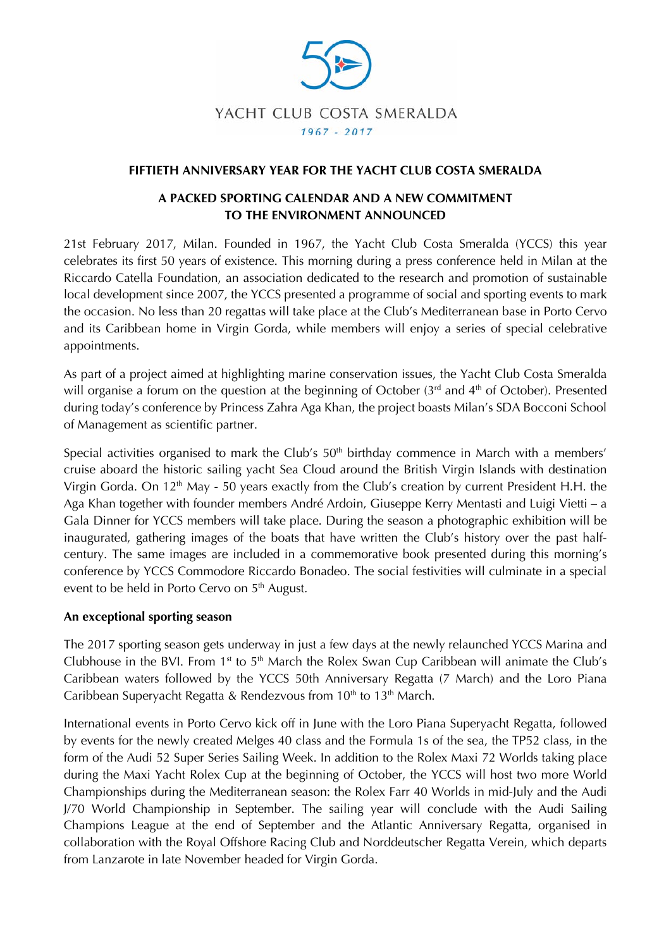

### **FIFTIETH ANNIVERSARY YEAR FOR THE YACHT CLUB COSTA SMERALDA**

# **A PACKED SPORTING CALENDAR AND A NEW COMMITMENT TO THE ENVIRONMENT ANNOUNCED**

21st February 2017, Milan. Founded in 1967, the Yacht Club Costa Smeralda (YCCS) this year celebrates its first 50 years of existence. This morning during a press conference held in Milan at the Riccardo Catella Foundation, an association dedicated to the research and promotion of sustainable local development since 2007, the YCCS presented a programme of social and sporting events to mark the occasion. No less than 20 regattas will take place at the Club's Mediterranean base in Porto Cervo and its Caribbean home in Virgin Gorda, while members will enjoy a series of special celebrative appointments.

As part of a project aimed at highlighting marine conservation issues, the Yacht Club Costa Smeralda will organise a forum on the question at the beginning of October  $(3<sup>rd</sup>$  and  $4<sup>th</sup>$  of October). Presented during today's conference by Princess Zahra Aga Khan, the project boasts Milan's SDA Bocconi School of Management as scientific partner.

Special activities organised to mark the Club's  $50<sup>th</sup>$  birthday commence in March with a members' cruise aboard the historic sailing yacht Sea Cloud around the British Virgin Islands with destination Virgin Gorda. On 12<sup>th</sup> May - 50 years exactly from the Club's creation by current President H.H. the Aga Khan together with founder members André Ardoin, Giuseppe Kerry Mentasti and Luigi Vietti – a Gala Dinner for YCCS members will take place. During the season a photographic exhibition will be inaugurated, gathering images of the boats that have written the Club's history over the past halfcentury. The same images are included in a commemorative book presented during this morning's conference by YCCS Commodore Riccardo Bonadeo. The social festivities will culminate in a special event to be held in Porto Cervo on 5<sup>th</sup> August.

#### **An exceptional sporting season**

The 2017 sporting season gets underway in just a few days at the newly relaunched YCCS Marina and Clubhouse in the BVI. From  $1<sup>st</sup>$  to  $5<sup>th</sup>$  March the Rolex Swan Cup Caribbean will animate the Club's Caribbean waters followed by the YCCS 50th Anniversary Regatta (7 March) and the Loro Piana Caribbean Superyacht Regatta & Rendezvous from  $10<sup>th</sup>$  to  $13<sup>th</sup>$  March.

International events in Porto Cervo kick off in June with the Loro Piana Superyacht Regatta, followed by events for the newly created Melges 40 class and the Formula 1s of the sea, the TP52 class, in the form of the Audi 52 Super Series Sailing Week. In addition to the Rolex Maxi 72 Worlds taking place during the Maxi Yacht Rolex Cup at the beginning of October, the YCCS will host two more World Championships during the Mediterranean season: the Rolex Farr 40 Worlds in mid-July and the Audi J/70 World Championship in September. The sailing year will conclude with the Audi Sailing Champions League at the end of September and the Atlantic Anniversary Regatta, organised in collaboration with the Royal Offshore Racing Club and Norddeutscher Regatta Verein, which departs from Lanzarote in late November headed for Virgin Gorda.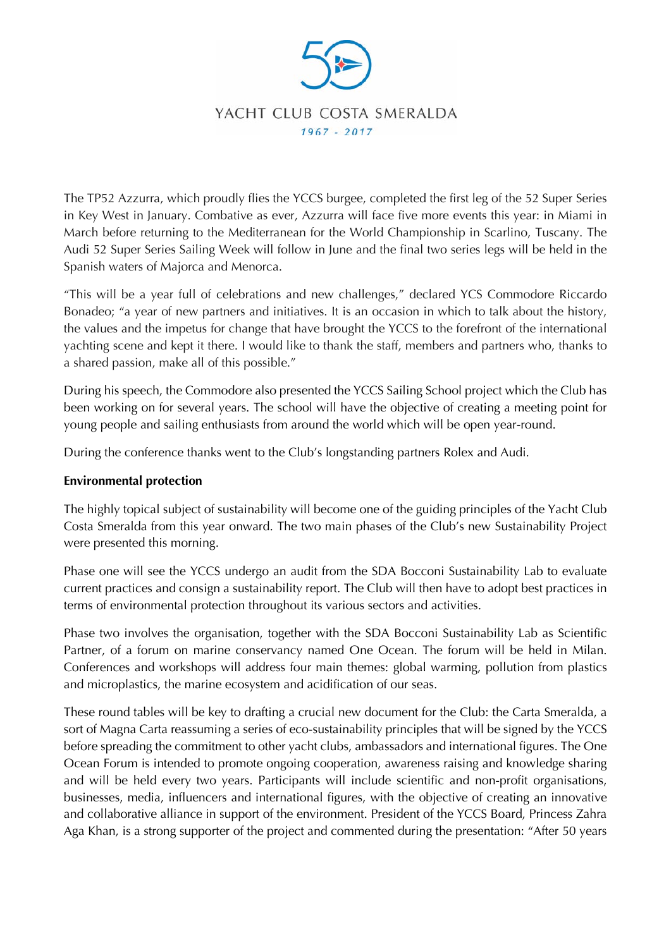

The TP52 Azzurra, which proudly flies the YCCS burgee, completed the first leg of the 52 Super Series in Key West in January. Combative as ever, Azzurra will face five more events this year: in Miami in March before returning to the Mediterranean for the World Championship in Scarlino, Tuscany. The Audi 52 Super Series Sailing Week will follow in June and the final two series legs will be held in the Spanish waters of Majorca and Menorca.

"This will be a year full of celebrations and new challenges," declared YCS Commodore Riccardo Bonadeo; "a year of new partners and initiatives. It is an occasion in which to talk about the history, the values and the impetus for change that have brought the YCCS to the forefront of the international yachting scene and kept it there. I would like to thank the staff, members and partners who, thanks to a shared passion, make all of this possible."

During his speech, the Commodore also presented the YCCS Sailing School project which the Club has been working on for several years. The school will have the objective of creating a meeting point for young people and sailing enthusiasts from around the world which will be open year-round.

During the conference thanks went to the Club's longstanding partners Rolex and Audi.

# **Environmental protection**

The highly topical subject of sustainability will become one of the guiding principles of the Yacht Club Costa Smeralda from this year onward. The two main phases of the Club's new Sustainability Project were presented this morning.

Phase one will see the YCCS undergo an audit from the SDA Bocconi Sustainability Lab to evaluate current practices and consign a sustainability report. The Club will then have to adopt best practices in terms of environmental protection throughout its various sectors and activities.

Phase two involves the organisation, together with the SDA Bocconi Sustainability Lab as Scientific Partner, of a forum on marine conservancy named One Ocean. The forum will be held in Milan. Conferences and workshops will address four main themes: global warming, pollution from plastics and microplastics, the marine ecosystem and acidification of our seas.

These round tables will be key to drafting a crucial new document for the Club: the Carta Smeralda, a sort of Magna Carta reassuming a series of eco-sustainability principles that will be signed by the YCCS before spreading the commitment to other yacht clubs, ambassadors and international figures. The One Ocean Forum is intended to promote ongoing cooperation, awareness raising and knowledge sharing and will be held every two years. Participants will include scientific and non-profit organisations, businesses, media, influencers and international figures, with the objective of creating an innovative and collaborative alliance in support of the environment. President of the YCCS Board, Princess Zahra Aga Khan, is a strong supporter of the project and commented during the presentation: "After 50 years